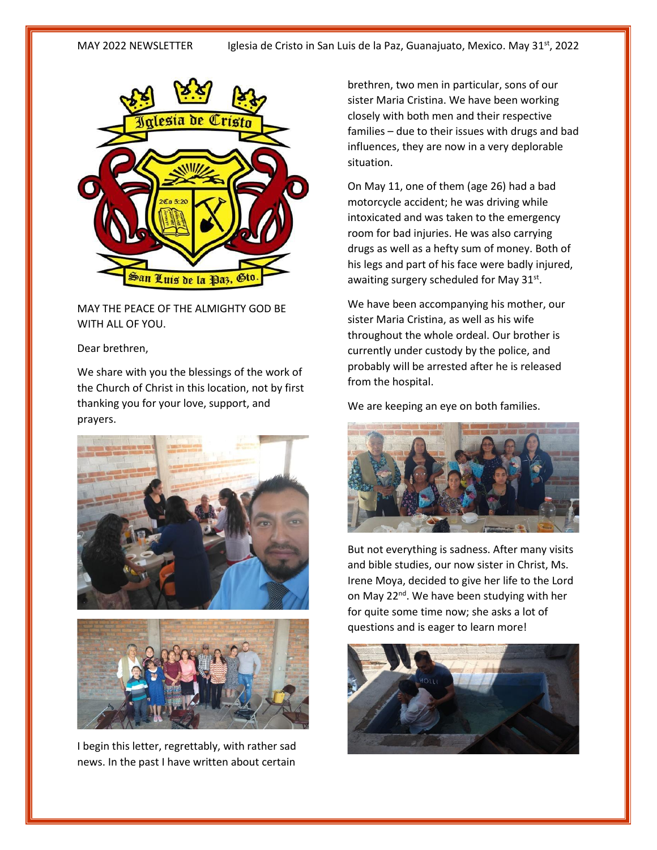

MAY THE PEACE OF THE ALMIGHTY GOD BE WITH ALL OF YOU.

## Dear brethren,

We share with you the blessings of the work of the Church of Christ in this location, not by first thanking you for your love, support, and prayers.





I begin this letter, regrettably, with rather sad news. In the past I have written about certain

brethren, two men in particular, sons of our sister Maria Cristina. We have been working closely with both men and their respective families – due to their issues with drugs and bad influences, they are now in a very deplorable situation.

On May 11, one of them (age 26) had a bad motorcycle accident; he was driving while intoxicated and was taken to the emergency room for bad injuries. He was also carrying drugs as well as a hefty sum of money. Both of his legs and part of his face were badly injured, awaiting surgery scheduled for May 31st.

We have been accompanying his mother, our sister Maria Cristina, as well as his wife throughout the whole ordeal. Our brother is currently under custody by the police, and probably will be arrested after he is released from the hospital.

We are keeping an eye on both families.



But not everything is sadness. After many visits and bible studies, our now sister in Christ, Ms. Irene Moya, decided to give her life to the Lord on May 22<sup>nd</sup>. We have been studying with her for quite some time now; she asks a lot of questions and is eager to learn more!